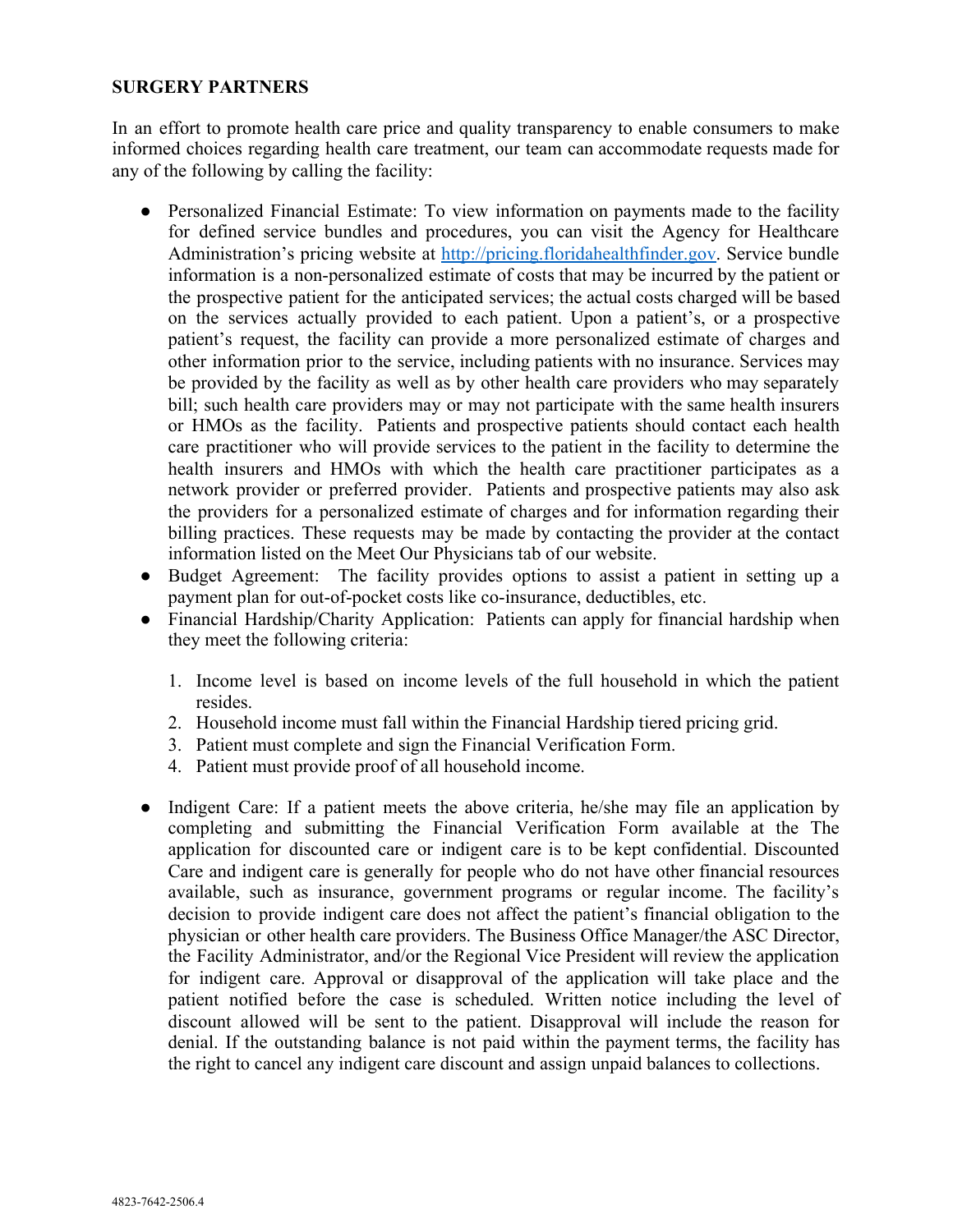## **SURGERY PARTNERS**

In an effort to promote health care price and quality transparency to enable consumers to make informed choices regarding health care treatment, our team can accommodate requests made for any of the following by calling the facility:

- Personalized Financial Estimate: To view information on payments made to the facility for defined service bundles and procedures, you can visit the Agency for Healthcare Administration's pricing website at [http://pricing.floridahealthfinder.gov](http://pricing.floridahealthfinder.gov/). Service bundle information is a non-personalized estimate of costs that may be incurred by the patient or the prospective patient for the anticipated services; the actual costs charged will be based on the services actually provided to each patient. Upon a patient's, or a prospective patient's request, the facility can provide a more personalized estimate of charges and other information prior to the service, including patients with no insurance. Services may be provided by the facility as well as by other health care providers who may separately bill; such health care providers may or may not participate with the same health insurers or HMOs as the facility. Patients and prospective patients should contact each health care practitioner who will provide services to the patient in the facility to determine the health insurers and HMOs with which the health care practitioner participates as a network provider or preferred provider. Patients and prospective patients may also ask the providers for a personalized estimate of charges and for information regarding their billing practices. These requests may be made by contacting the provider at the contact information listed on the Meet Our Physicians tab of our website.
- Budget Agreement: The facility provides options to assist a patient in setting up a payment plan for out-of-pocket costs like co-insurance, deductibles, etc.
- Financial Hardship/Charity Application: Patients can apply for financial hardship when they meet the following criteria:
	- 1. Income level is based on income levels of the full household in which the patient resides.
	- 2. Household income must fall within the Financial Hardship tiered pricing grid.
	- 3. Patient must complete and sign the Financial Verification Form.
	- 4. Patient must provide proof of all household income.
- Indigent Care: If a patient meets the above criteria, he/she may file an application by completing and submitting the Financial Verification Form available at the The application for discounted care or indigent care is to be kept confidential. Discounted Care and indigent care is generally for people who do not have other financial resources available, such as insurance, government programs or regular income. The facility's decision to provide indigent care does not affect the patient's financial obligation to the physician or other health care providers. The Business Office Manager/the ASC Director, the Facility Administrator, and/or the Regional Vice President will review the application for indigent care. Approval or disapproval of the application will take place and the patient notified before the case is scheduled. Written notice including the level of discount allowed will be sent to the patient. Disapproval will include the reason for denial. If the outstanding balance is not paid within the payment terms, the facility has the right to cancel any indigent care discount and assign unpaid balances to collections.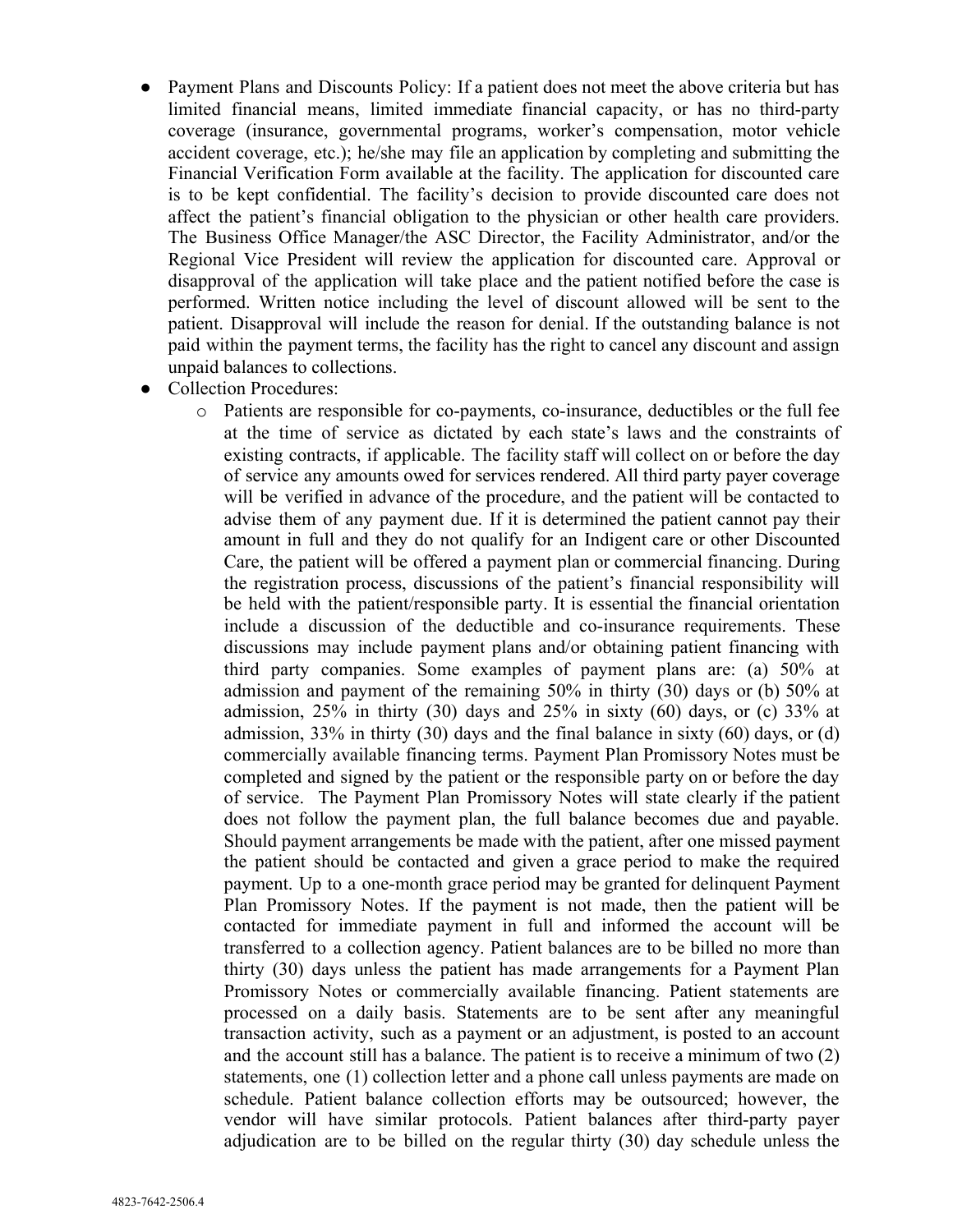- Payment Plans and Discounts Policy: If a patient does not meet the above criteria but has limited financial means, limited immediate financial capacity, or has no third-party coverage (insurance, governmental programs, worker's compensation, motor vehicle accident coverage, etc.); he/she may file an application by completing and submitting the Financial Verification Form available at the facility. The application for discounted care is to be kept confidential. The facility's decision to provide discounted care does not affect the patient's financial obligation to the physician or other health care providers. The Business Office Manager/the ASC Director, the Facility Administrator, and/or the Regional Vice President will review the application for discounted care. Approval or disapproval of the application will take place and the patient notified before the case is performed. Written notice including the level of discount allowed will be sent to the patient. Disapproval will include the reason for denial. If the outstanding balance is not paid within the payment terms, the facility has the right to cancel any discount and assign unpaid balances to collections.
- **Collection Procedures:** 
	- o Patients are responsible for co-payments, co-insurance, deductibles or the full fee at the time of service as dictated by each state's laws and the constraints of existing contracts, if applicable. The facility staff will collect on or before the day of service any amounts owed for services rendered. All third party payer coverage will be verified in advance of the procedure, and the patient will be contacted to advise them of any payment due. If it is determined the patient cannot pay their amount in full and they do not qualify for an Indigent care or other Discounted Care, the patient will be offered a payment plan or commercial financing. During the registration process, discussions of the patient's financial responsibility will be held with the patient/responsible party. It is essential the financial orientation include a discussion of the deductible and co-insurance requirements. These discussions may include payment plans and/or obtaining patient financing with third party companies. Some examples of payment plans are: (a) 50% at admission and payment of the remaining 50% in thirty (30) days or (b) 50% at admission,  $25\%$  in thirty (30) days and  $25\%$  in sixty (60) days, or (c) 33% at admission,  $33\%$  in thirty (30) days and the final balance in sixty (60) days, or (d) commercially available financing terms. Payment Plan Promissory Notes must be completed and signed by the patient or the responsible party on or before the day of service. The Payment Plan Promissory Notes will state clearly if the patient does not follow the payment plan, the full balance becomes due and payable. Should payment arrangements be made with the patient, after one missed payment the patient should be contacted and given a grace period to make the required payment. Up to a one-month grace period may be granted for delinquent Payment Plan Promissory Notes. If the payment is not made, then the patient will be contacted for immediate payment in full and informed the account will be transferred to a collection agency. Patient balances are to be billed no more than thirty (30) days unless the patient has made arrangements for a Payment Plan Promissory Notes or commercially available financing. Patient statements are processed on a daily basis. Statements are to be sent after any meaningful transaction activity, such as a payment or an adjustment, is posted to an account and the account still has a balance. The patient is to receive a minimum of two (2) statements, one (1) collection letter and a phone call unless payments are made on schedule. Patient balance collection efforts may be outsourced; however, the vendor will have similar protocols. Patient balances after third-party payer adjudication are to be billed on the regular thirty (30) day schedule unless the